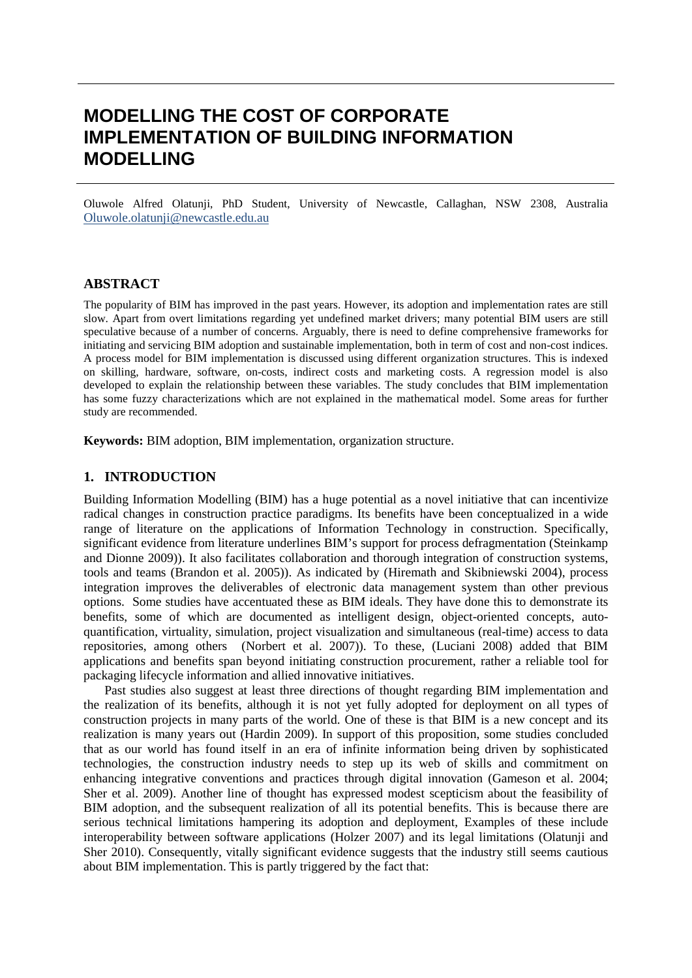# **MODELLING THE COST OF CORPORATE IMPLEMENTATION OF BUILDING INFORMATION MODELLING**

Oluwole Alfred Olatunji, PhD Student, University of Newcastle, Callaghan, NSW 2308, Australia [Oluwole.olatunji@newcastle.edu.au](mailto:Oluwole.olatunji@newcastle.edu.au)

## **ABSTRACT**

The popularity of BIM has improved in the past years. However, its adoption and implementation rates are still slow. Apart from overt limitations regarding yet undefined market drivers; many potential BIM users are still speculative because of a number of concerns. Arguably, there is need to define comprehensive frameworks for initiating and servicing BIM adoption and sustainable implementation, both in term of cost and non-cost indices. A process model for BIM implementation is discussed using different organization structures. This is indexed on skilling, hardware, software, on-costs, indirect costs and marketing costs. A regression model is also developed to explain the relationship between these variables. The study concludes that BIM implementation has some fuzzy characterizations which are not explained in the mathematical model. Some areas for further study are recommended.

**Keywords:** BIM adoption, BIM implementation, organization structure.

# **1. INTRODUCTION**

Building Information Modelling (BIM) has a huge potential as a novel initiative that can incentivize radical changes in construction practice paradigms. Its benefits have been conceptualized in a wide range of literature on the applications of Information Technology in construction. Specifically, significant evidence from literature underlines BIM's support for process defragmentation (Steinkamp and Dionne 2009)). It also facilitates collaboration and thorough integration of construction systems, tools and teams (Brandon et al. 2005)). As indicated by (Hiremath and Skibniewski 2004), process integration improves the deliverables of electronic data management system than other previous options. Some studies have accentuated these as BIM ideals. They have done this to demonstrate its benefits, some of which are documented as intelligent design, object-oriented concepts, autoquantification, virtuality, simulation, project visualization and simultaneous (real-time) access to data repositories, among others (Norbert et al. 2007)). To these, (Luciani 2008) added that BIM applications and benefits span beyond initiating construction procurement, rather a reliable tool for packaging lifecycle information and allied innovative initiatives.

Past studies also suggest at least three directions of thought regarding BIM implementation and the realization of its benefits, although it is not yet fully adopted for deployment on all types of construction projects in many parts of the world. One of these is that BIM is a new concept and its realization is many years out (Hardin 2009). In support of this proposition, some studies concluded that as our world has found itself in an era of infinite information being driven by sophisticated technologies, the construction industry needs to step up its web of skills and commitment on enhancing integrative conventions and practices through digital innovation (Gameson et al. 2004; Sher et al. 2009). Another line of thought has expressed modest scepticism about the feasibility of BIM adoption, and the subsequent realization of all its potential benefits. This is because there are serious technical limitations hampering its adoption and deployment, Examples of these include interoperability between software applications (Holzer 2007) and its legal limitations (Olatunji and Sher 2010). Consequently, vitally significant evidence suggests that the industry still seems cautious about BIM implementation. This is partly triggered by the fact that: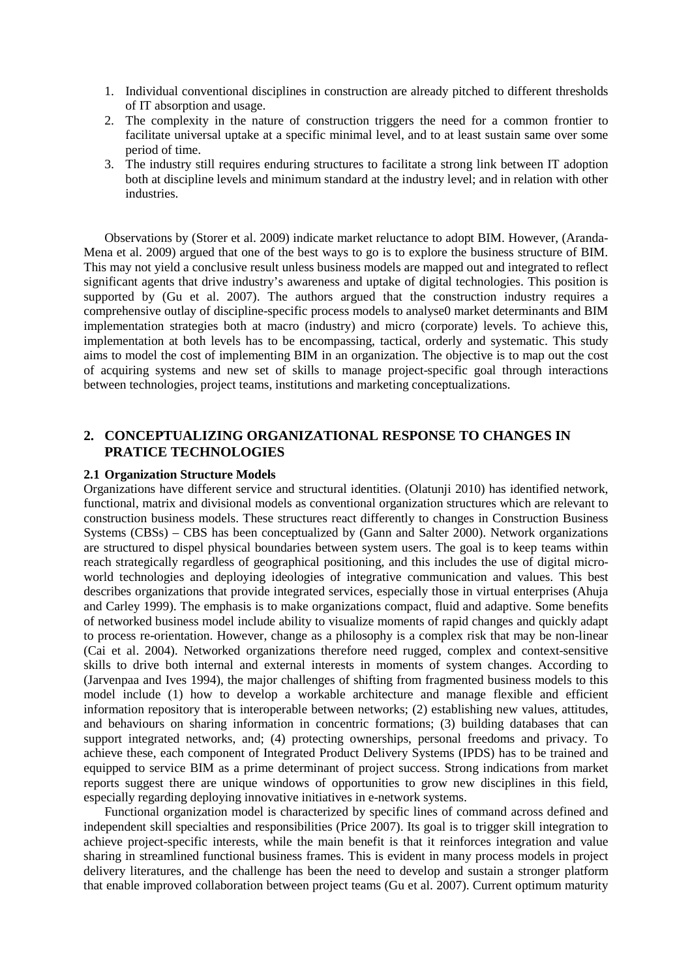- 1. Individual conventional disciplines in construction are already pitched to different thresholds of IT absorption and usage.
- 2. The complexity in the nature of construction triggers the need for a common frontier to facilitate universal uptake at a specific minimal level, and to at least sustain same over some period of time.
- 3. The industry still requires enduring structures to facilitate a strong link between IT adoption both at discipline levels and minimum standard at the industry level; and in relation with other industries.

Observations by (Storer et al. 2009) indicate market reluctance to adopt BIM. However, (Aranda-Mena et al. 2009) argued that one of the best ways to go is to explore the business structure of BIM. This may not yield a conclusive result unless business models are mapped out and integrated to reflect significant agents that drive industry's awareness and uptake of digital technologies. This position is supported by (Gu et al. 2007). The authors argued that the construction industry requires a comprehensive outlay of discipline-specific process models to analyse0 market determinants and BIM implementation strategies both at macro (industry) and micro (corporate) levels. To achieve this, implementation at both levels has to be encompassing, tactical, orderly and systematic. This study aims to model the cost of implementing BIM in an organization. The objective is to map out the cost of acquiring systems and new set of skills to manage project-specific goal through interactions between technologies, project teams, institutions and marketing conceptualizations.

# **2. CONCEPTUALIZING ORGANIZATIONAL RESPONSE TO CHANGES IN PRATICE TECHNOLOGIES**

#### **2.1 Organization Structure Models**

Organizations have different service and structural identities. (Olatunji 2010) has identified network, functional, matrix and divisional models as conventional organization structures which are relevant to construction business models. These structures react differently to changes in Construction Business Systems (CBSs) – CBS has been conceptualized by (Gann and Salter 2000). Network organizations are structured to dispel physical boundaries between system users. The goal is to keep teams within reach strategically regardless of geographical positioning, and this includes the use of digital microworld technologies and deploying ideologies of integrative communication and values. This best describes organizations that provide integrated services, especially those in virtual enterprises (Ahuja and Carley 1999). The emphasis is to make organizations compact, fluid and adaptive. Some benefits of networked business model include ability to visualize moments of rapid changes and quickly adapt to process re-orientation. However, change as a philosophy is a complex risk that may be non-linear (Cai et al. 2004). Networked organizations therefore need rugged, complex and context-sensitive skills to drive both internal and external interests in moments of system changes. According to (Jarvenpaa and Ives 1994), the major challenges of shifting from fragmented business models to this model include (1) how to develop a workable architecture and manage flexible and efficient information repository that is interoperable between networks; (2) establishing new values, attitudes, and behaviours on sharing information in concentric formations; (3) building databases that can support integrated networks, and; (4) protecting ownerships, personal freedoms and privacy. To achieve these, each component of Integrated Product Delivery Systems (IPDS) has to be trained and equipped to service BIM as a prime determinant of project success. Strong indications from market reports suggest there are unique windows of opportunities to grow new disciplines in this field, especially regarding deploying innovative initiatives in e-network systems.

Functional organization model is characterized by specific lines of command across defined and independent skill specialties and responsibilities (Price 2007). Its goal is to trigger skill integration to achieve project-specific interests, while the main benefit is that it reinforces integration and value sharing in streamlined functional business frames. This is evident in many process models in project delivery literatures, and the challenge has been the need to develop and sustain a stronger platform that enable improved collaboration between project teams (Gu et al. 2007). Current optimum maturity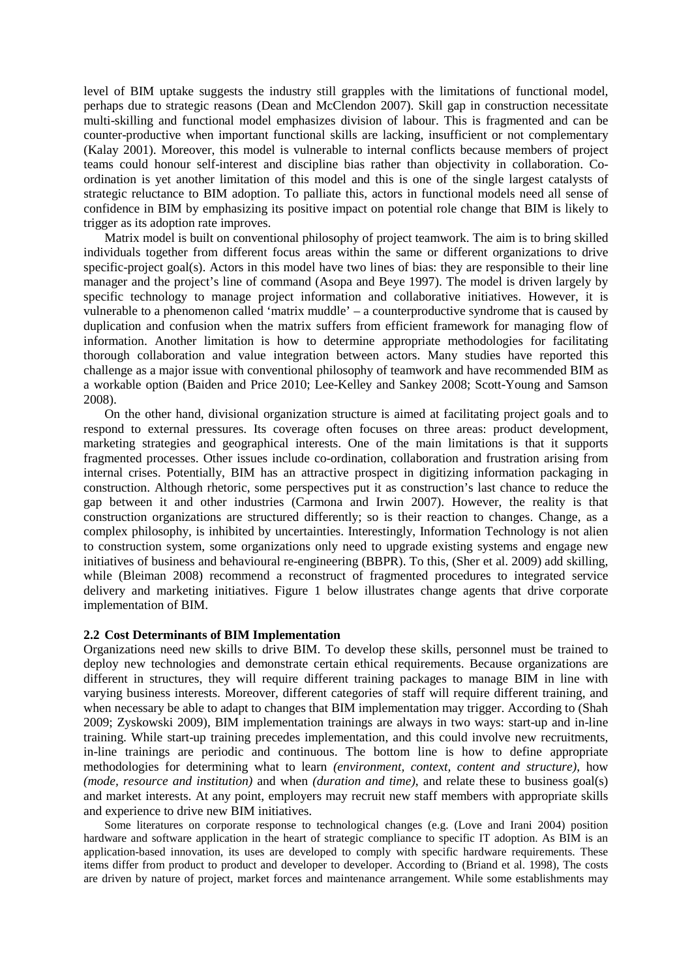level of BIM uptake suggests the industry still grapples with the limitations of functional model, perhaps due to strategic reasons (Dean and McClendon 2007). Skill gap in construction necessitate multi-skilling and functional model emphasizes division of labour. This is fragmented and can be counter-productive when important functional skills are lacking, insufficient or not complementary (Kalay 2001). Moreover, this model is vulnerable to internal conflicts because members of project teams could honour self-interest and discipline bias rather than objectivity in collaboration. Coordination is yet another limitation of this model and this is one of the single largest catalysts of strategic reluctance to BIM adoption. To palliate this, actors in functional models need all sense of confidence in BIM by emphasizing its positive impact on potential role change that BIM is likely to trigger as its adoption rate improves.

Matrix model is built on conventional philosophy of project teamwork. The aim is to bring skilled individuals together from different focus areas within the same or different organizations to drive specific-project goal(s). Actors in this model have two lines of bias: they are responsible to their line manager and the project's line of command (Asopa and Beye 1997). The model is driven largely by specific technology to manage project information and collaborative initiatives. However, it is vulnerable to a phenomenon called 'matrix muddle' – a counterproductive syndrome that is caused by duplication and confusion when the matrix suffers from efficient framework for managing flow of information. Another limitation is how to determine appropriate methodologies for facilitating thorough collaboration and value integration between actors. Many studies have reported this challenge as a major issue with conventional philosophy of teamwork and have recommended BIM as a workable option (Baiden and Price 2010; Lee-Kelley and Sankey 2008; Scott-Young and Samson 2008).

On the other hand, divisional organization structure is aimed at facilitating project goals and to respond to external pressures. Its coverage often focuses on three areas: product development, marketing strategies and geographical interests. One of the main limitations is that it supports fragmented processes. Other issues include co-ordination, collaboration and frustration arising from internal crises. Potentially, BIM has an attractive prospect in digitizing information packaging in construction. Although rhetoric, some perspectives put it as construction's last chance to reduce the gap between it and other industries (Carmona and Irwin 2007). However, the reality is that construction organizations are structured differently; so is their reaction to changes. Change, as a complex philosophy, is inhibited by uncertainties. Interestingly, Information Technology is not alien to construction system, some organizations only need to upgrade existing systems and engage new initiatives of business and behavioural re-engineering (BBPR). To this, (Sher et al. 2009) add skilling, while (Bleiman 2008) recommend a reconstruct of fragmented procedures to integrated service delivery and marketing initiatives. Figure 1 below illustrates change agents that drive corporate implementation of BIM.

#### **2.2 Cost Determinants of BIM Implementation**

Organizations need new skills to drive BIM. To develop these skills, personnel must be trained to deploy new technologies and demonstrate certain ethical requirements. Because organizations are different in structures, they will require different training packages to manage BIM in line with varying business interests. Moreover, different categories of staff will require different training, and when necessary be able to adapt to changes that BIM implementation may trigger. According to (Shah 2009; Zyskowski 2009), BIM implementation trainings are always in two ways: start-up and in-line training. While start-up training precedes implementation, and this could involve new recruitments, in-line trainings are periodic and continuous. The bottom line is how to define appropriate methodologies for determining what to learn *(environment, context, content and structure)*, how *(mode, resource and institution)* and when *(duration and time)*, and relate these to business goal(s) and market interests. At any point, employers may recruit new staff members with appropriate skills and experience to drive new BIM initiatives.

Some literatures on corporate response to technological changes (e.g. (Love and Irani 2004) position hardware and software application in the heart of strategic compliance to specific IT adoption. As BIM is an application-based innovation, its uses are developed to comply with specific hardware requirements. These items differ from product to product and developer to developer. According to (Briand et al. 1998), The costs are driven by nature of project, market forces and maintenance arrangement. While some establishments may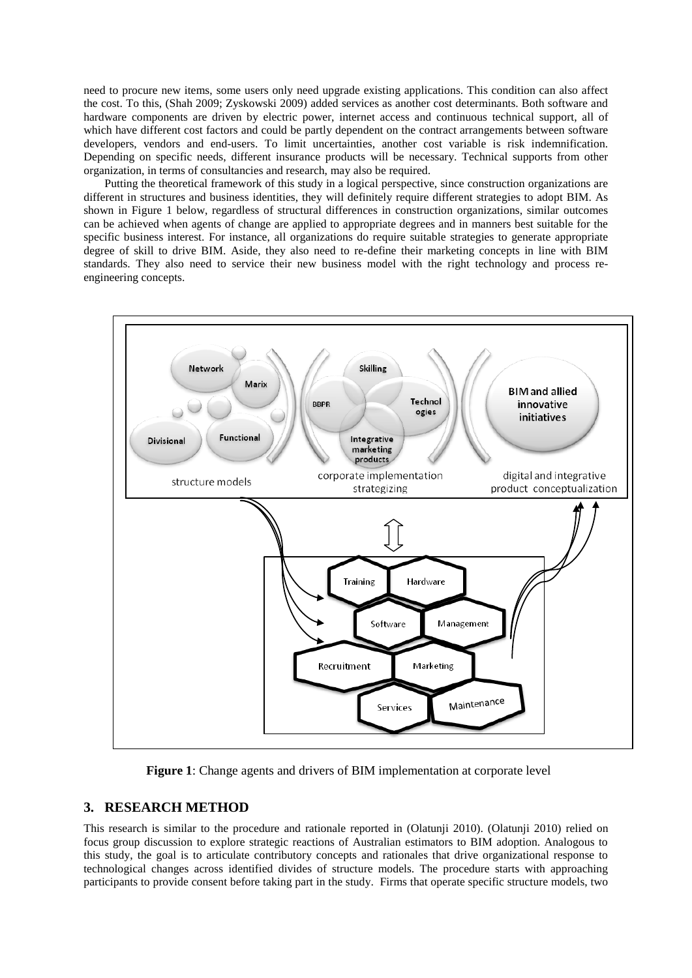need to procure new items, some users only need upgrade existing applications. This condition can also affect the cost. To this, (Shah 2009; Zyskowski 2009) added services as another cost determinants. Both software and hardware components are driven by electric power, internet access and continuous technical support, all of which have different cost factors and could be partly dependent on the contract arrangements between software developers, vendors and end-users. To limit uncertainties, another cost variable is risk indemnification. Depending on specific needs, different insurance products will be necessary. Technical supports from other organization, in terms of consultancies and research, may also be required.

Putting the theoretical framework of this study in a logical perspective, since construction organizations are different in structures and business identities, they will definitely require different strategies to adopt BIM. As shown in Figure 1 below, regardless of structural differences in construction organizations, similar outcomes can be achieved when agents of change are applied to appropriate degrees and in manners best suitable for the specific business interest. For instance, all organizations do require suitable strategies to generate appropriate degree of skill to drive BIM. Aside, they also need to re-define their marketing concepts in line with BIM standards. They also need to service their new business model with the right technology and process reengineering concepts.



**Figure 1**: Change agents and drivers of BIM implementation at corporate level

## **3. RESEARCH METHOD**

This research is similar to the procedure and rationale reported in (Olatunji 2010). (Olatunji 2010) relied on focus group discussion to explore strategic reactions of Australian estimators to BIM adoption. Analogous to this study, the goal is to articulate contributory concepts and rationales that drive organizational response to technological changes across identified divides of structure models. The procedure starts with approaching participants to provide consent before taking part in the study. Firms that operate specific structure models, two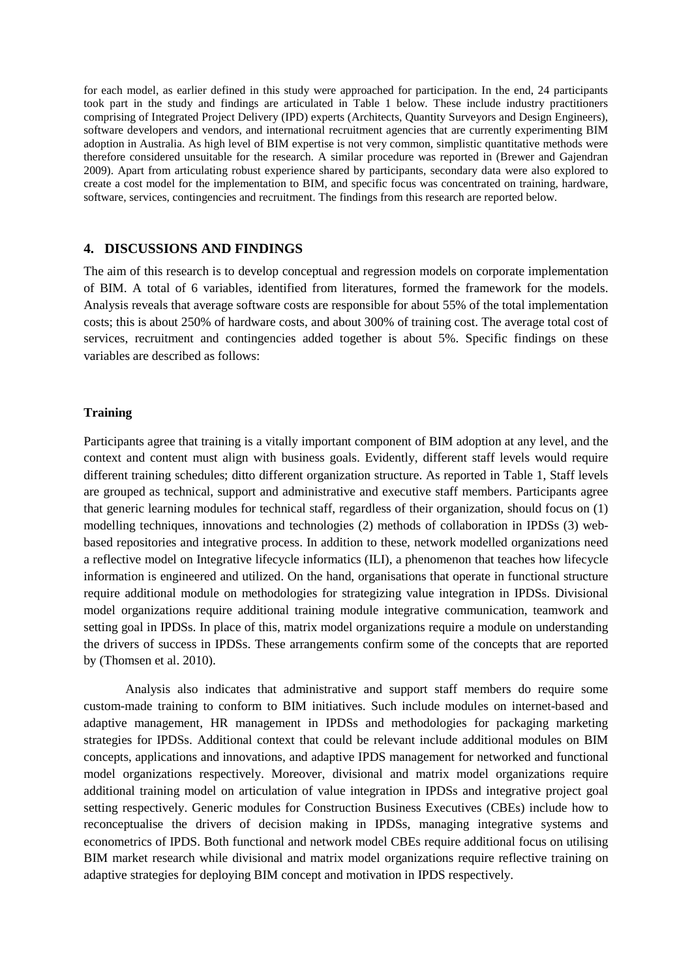for each model, as earlier defined in this study were approached for participation. In the end, 24 participants took part in the study and findings are articulated in Table 1 below. These include industry practitioners comprising of Integrated Project Delivery (IPD) experts (Architects, Quantity Surveyors and Design Engineers), software developers and vendors, and international recruitment agencies that are currently experimenting BIM adoption in Australia. As high level of BIM expertise is not very common, simplistic quantitative methods were therefore considered unsuitable for the research. A similar procedure was reported in (Brewer and Gajendran 2009). Apart from articulating robust experience shared by participants, secondary data were also explored to create a cost model for the implementation to BIM, and specific focus was concentrated on training, hardware, software, services, contingencies and recruitment. The findings from this research are reported below.

# **4. DISCUSSIONS AND FINDINGS**

The aim of this research is to develop conceptual and regression models on corporate implementation of BIM. A total of 6 variables, identified from literatures, formed the framework for the models. Analysis reveals that average software costs are responsible for about 55% of the total implementation costs; this is about 250% of hardware costs, and about 300% of training cost. The average total cost of services, recruitment and contingencies added together is about 5%. Specific findings on these variables are described as follows:

#### **Training**

Participants agree that training is a vitally important component of BIM adoption at any level, and the context and content must align with business goals. Evidently, different staff levels would require different training schedules; ditto different organization structure. As reported in Table 1, Staff levels are grouped as technical, support and administrative and executive staff members. Participants agree that generic learning modules for technical staff, regardless of their organization, should focus on (1) modelling techniques, innovations and technologies (2) methods of collaboration in IPDSs (3) webbased repositories and integrative process. In addition to these, network modelled organizations need a reflective model on Integrative lifecycle informatics (ILI), a phenomenon that teaches how lifecycle information is engineered and utilized. On the hand, organisations that operate in functional structure require additional module on methodologies for strategizing value integration in IPDSs. Divisional model organizations require additional training module integrative communication, teamwork and setting goal in IPDSs. In place of this, matrix model organizations require a module on understanding the drivers of success in IPDSs. These arrangements confirm some of the concepts that are reported by (Thomsen et al. 2010).

Analysis also indicates that administrative and support staff members do require some custom-made training to conform to BIM initiatives. Such include modules on internet-based and adaptive management, HR management in IPDSs and methodologies for packaging marketing strategies for IPDSs. Additional context that could be relevant include additional modules on BIM concepts, applications and innovations, and adaptive IPDS management for networked and functional model organizations respectively. Moreover, divisional and matrix model organizations require additional training model on articulation of value integration in IPDSs and integrative project goal setting respectively. Generic modules for Construction Business Executives (CBEs) include how to reconceptualise the drivers of decision making in IPDSs, managing integrative systems and econometrics of IPDS. Both functional and network model CBEs require additional focus on utilising BIM market research while divisional and matrix model organizations require reflective training on adaptive strategies for deploying BIM concept and motivation in IPDS respectively.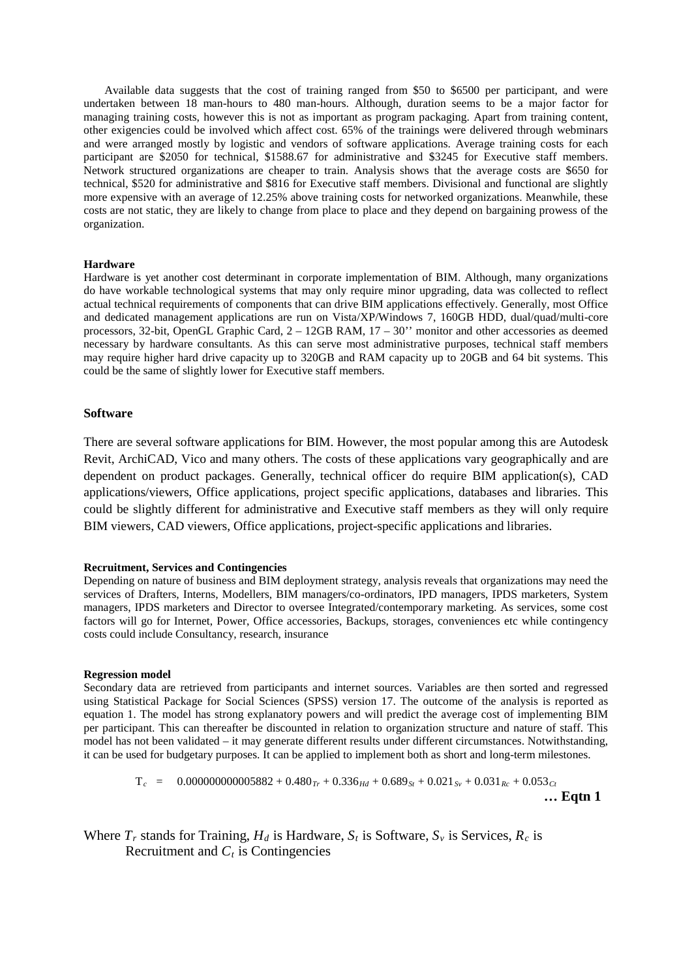Available data suggests that the cost of training ranged from \$50 to \$6500 per participant, and were undertaken between 18 man-hours to 480 man-hours. Although, duration seems to be a major factor for managing training costs, however this is not as important as program packaging. Apart from training content, other exigencies could be involved which affect cost. 65% of the trainings were delivered through webminars and were arranged mostly by logistic and vendors of software applications. Average training costs for each participant are \$2050 for technical, \$1588.67 for administrative and \$3245 for Executive staff members. Network structured organizations are cheaper to train. Analysis shows that the average costs are \$650 for technical, \$520 for administrative and \$816 for Executive staff members. Divisional and functional are slightly more expensive with an average of 12.25% above training costs for networked organizations. Meanwhile, these costs are not static, they are likely to change from place to place and they depend on bargaining prowess of the organization.

#### **Hardware**

Hardware is yet another cost determinant in corporate implementation of BIM. Although, many organizations do have workable technological systems that may only require minor upgrading, data was collected to reflect actual technical requirements of components that can drive BIM applications effectively. Generally, most Office and dedicated management applications are run on Vista/XP/Windows 7, 160GB HDD, dual/quad/multi-core processors, 32-bit, OpenGL Graphic Card, 2 – 12GB RAM, 17 – 30'' monitor and other accessories as deemed necessary by hardware consultants. As this can serve most administrative purposes, technical staff members may require higher hard drive capacity up to 320GB and RAM capacity up to 20GB and 64 bit systems. This could be the same of slightly lower for Executive staff members.

#### **Software**

There are several software applications for BIM. However, the most popular among this are Autodesk Revit, ArchiCAD, Vico and many others. The costs of these applications vary geographically and are dependent on product packages. Generally, technical officer do require BIM application(s), CAD applications/viewers, Office applications, project specific applications, databases and libraries. This could be slightly different for administrative and Executive staff members as they will only require BIM viewers, CAD viewers, Office applications, project-specific applications and libraries.

#### **Recruitment, Services and Contingencies**

Depending on nature of business and BIM deployment strategy, analysis reveals that organizations may need the services of Drafters, Interns, Modellers, BIM managers/co-ordinators, IPD managers, IPDS marketers, System managers, IPDS marketers and Director to oversee Integrated/contemporary marketing. As services, some cost factors will go for Internet, Power, Office accessories, Backups, storages, conveniences etc while contingency costs could include Consultancy, research, insurance

#### **Regression model**

Secondary data are retrieved from participants and internet sources. Variables are then sorted and regressed using Statistical Package for Social Sciences (SPSS) version 17. The outcome of the analysis is reported as equation 1. The model has strong explanatory powers and will predict the average cost of implementing BIM per participant. This can thereafter be discounted in relation to organization structure and nature of staff. This model has not been validated – it may generate different results under different circumstances. Notwithstanding, it can be used for budgetary purposes. It can be applied to implement both as short and long-term milestones.

$$
T_c = 0.000000000005882 + 0.480_{Tr} + 0.336_{Hd} + 0.689_{St} + 0.021_{Sv} + 0.031_{Rc} + 0.053_{Ct}
$$
  
... Eqtn 1

Where  $T_r$  stands for Training,  $H_d$  is Hardware,  $S_t$  is Software,  $S_v$  is Services,  $R_c$  is Recruitment and  $C_t$  is Contingencies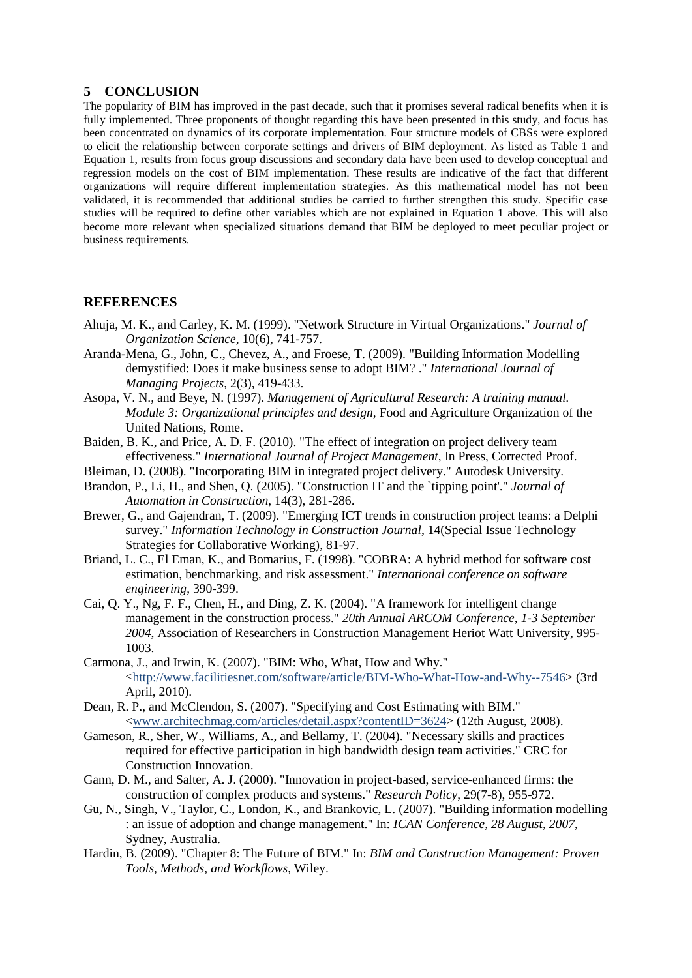### **5 CONCLUSION**

The popularity of BIM has improved in the past decade, such that it promises several radical benefits when it is fully implemented. Three proponents of thought regarding this have been presented in this study, and focus has been concentrated on dynamics of its corporate implementation. Four structure models of CBSs were explored to elicit the relationship between corporate settings and drivers of BIM deployment. As listed as Table 1 and Equation 1, results from focus group discussions and secondary data have been used to develop conceptual and regression models on the cost of BIM implementation. These results are indicative of the fact that different organizations will require different implementation strategies. As this mathematical model has not been validated, it is recommended that additional studies be carried to further strengthen this study. Specific case studies will be required to define other variables which are not explained in Equation 1 above. This will also become more relevant when specialized situations demand that BIM be deployed to meet peculiar project or business requirements.

## **REFERENCES**

- Ahuja, M. K., and Carley, K. M. (1999). "Network Structure in Virtual Organizations." *Journal of Organization Science*, 10(6), 741-757.
- Aranda-Mena, G., John, C., Chevez, A., and Froese, T. (2009). "Building Information Modelling demystified: Does it make business sense to adopt BIM? ." *International Journal of Managing Projects*, 2(3), 419-433.
- Asopa, V. N., and Beye, N. (1997). *Management of Agricultural Research: A training manual. Module 3: Organizational principles and design*, Food and Agriculture Organization of the United Nations, Rome.
- Baiden, B. K., and Price, A. D. F. (2010). "The effect of integration on project delivery team effectiveness." *International Journal of Project Management*, In Press, Corrected Proof.
- Bleiman, D. (2008). "Incorporating BIM in integrated project delivery." Autodesk University.
- Brandon, P., Li, H., and Shen, Q. (2005). "Construction IT and the `tipping point'." *Journal of Automation in Construction*, 14(3), 281-286.
- Brewer, G., and Gajendran, T. (2009). "Emerging ICT trends in construction project teams: a Delphi survey." *Information Technology in Construction Journal*, 14(Special Issue Technology Strategies for Collaborative Working), 81-97.
- Briand, L. C., El Eman, K., and Bomarius, F. (1998). "COBRA: A hybrid method for software cost estimation, benchmarking, and risk assessment." *International conference on software engineering*, 390-399.
- Cai, Q. Y., Ng, F. F., Chen, H., and Ding, Z. K. (2004). "A framework for intelligent change management in the construction process." *20th Annual ARCOM Conference, 1-3 September 2004*, Association of Researchers in Construction Management Heriot Watt University, 995- 1003.
- Carmona, J., and Irwin, K. (2007). "BIM: Who, What, How and Why." [<http://www.facilitiesnet.com/software/article/BIM-Who-What-How-and-Why--7546>](http://www.facilitiesnet.com/software/article/BIM-Who-What-How-and-Why--7546) (3rd April, 2010).
- Dean, R. P., and McClendon, S. (2007). "Specifying and Cost Estimating with BIM." [<www.architechmag.com/articles/detail.aspx?contentID=3624>](http://www.architechmag.com/articles/detail.aspx?contentID=3624) (12th August, 2008).
- Gameson, R., Sher, W., Williams, A., and Bellamy, T. (2004). "Necessary skills and practices required for effective participation in high bandwidth design team activities." CRC for Construction Innovation.
- Gann, D. M., and Salter, A. J. (2000). "Innovation in project-based, service-enhanced firms: the construction of complex products and systems." *Research Policy*, 29(7-8), 955-972.
- Gu, N., Singh, V., Taylor, C., London, K., and Brankovic, L. (2007). "Building information modelling : an issue of adoption and change management." In: *ICAN Conference, 28 August, 2007*, Sydney, Australia.
- Hardin, B. (2009). "Chapter 8: The Future of BIM." In: *BIM and Construction Management: Proven Tools, Methods, and Workflows*, Wiley.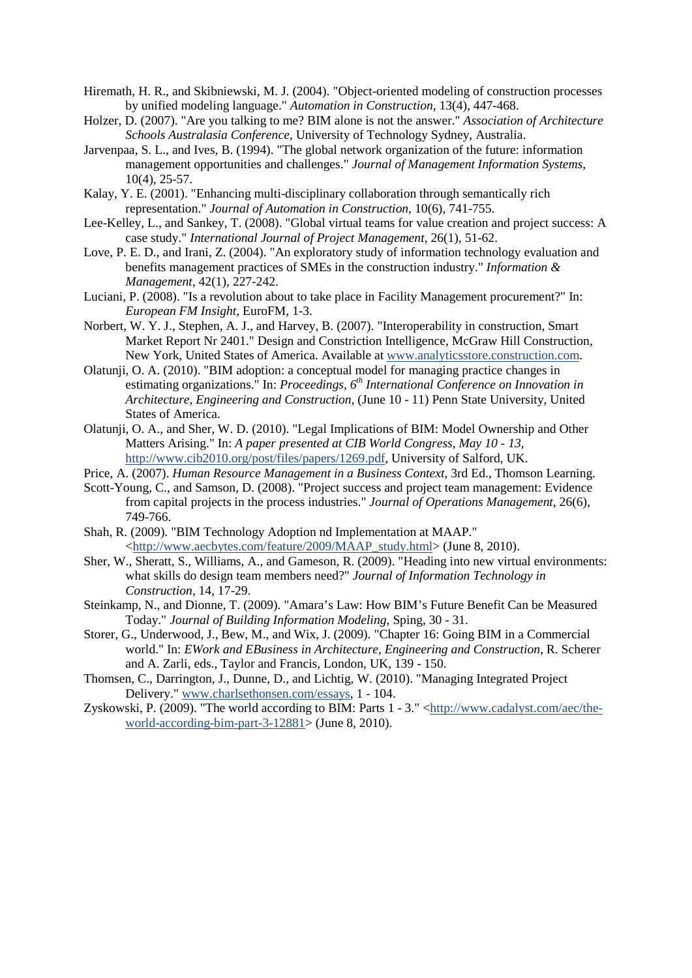- Hiremath, H. R., and Skibniewski, M. J. (2004). "Object-oriented modeling of construction processes by unified modeling language." *Automation in Construction*, 13(4), 447-468.
- Holzer, D. (2007). "Are you talking to me? BIM alone is not the answer." *Association of Architecture Schools Australasia Conference*, University of Technology Sydney, Australia.
- Jarvenpaa, S. L., and Ives, B. (1994). "The global network organization of the future: information management opportunities and challenges." *Journal of Management Information Systems*, 10(4), 25-57.
- Kalay, Y. E. (2001). "Enhancing multi-disciplinary collaboration through semantically rich representation." *Journal of Automation in Construction*, 10(6), 741-755.
- Lee-Kelley, L., and Sankey, T. (2008). "Global virtual teams for value creation and project success: A case study." *International Journal of Project Management*, 26(1), 51-62.
- Love, P. E. D., and Irani, Z. (2004). "An exploratory study of information technology evaluation and benefits management practices of SMEs in the construction industry." *Information & Management*, 42(1), 227-242.
- Luciani, P. (2008). "Is a revolution about to take place in Facility Management procurement?" In: *European FM Insight*, EuroFM, 1-3.
- Norbert, W. Y. J., Stephen, A. J., and Harvey, B. (2007). "Interoperability in construction, Smart Market Report Nr 2401." Design and Constriction Intelligence, McGraw Hill Construction, New York, United States of America. Available at [www.analyticsstore.construction.com.](http://www.analyticsstore.construction.com/)
- Olatunji, O. A. (2010). "BIM adoption: a conceptual model for managing practice changes in estimating organizations." In: Proceedings, 6<sup>th</sup> International Conference on Innovation in *Architecture, Engineering and Construction*, (June 10 - 11) Penn State University, United States of America.
- Olatunji, O. A., and Sher, W. D. (2010). "Legal Implications of BIM: Model Ownership and Other Matters Arising." In: *A paper presented at CIB World Congress, May 10 - 13*, [http://www.cib2010.org/post/files/papers/1269.pdf,](http://www.cib2010.org/post/files/papers/1269.pdf) University of Salford, UK.
- Price, A. (2007). *Human Resource Management in a Business Context*, 3rd Ed., Thomson Learning.
- Scott-Young, C., and Samson, D. (2008). "Project success and project team management: Evidence from capital projects in the process industries." *Journal of Operations Management*, 26(6), 749-766.
- Shah, R. (2009). "BIM Technology Adoption nd Implementation at MAAP." [<http://www.aecbytes.com/feature/2009/MAAP\\_study.html>](http://www.aecbytes.com/feature/2009/MAAP_study.html) (June 8, 2010).
- Sher, W., Sheratt, S., Williams, A., and Gameson, R. (2009). "Heading into new virtual environments: what skills do design team members need?" *Journal of Information Technology in Construction*, 14, 17-29.
- Steinkamp, N., and Dionne, T. (2009). "Amara's Law: How BIM's Future Benefit Can be Measured Today." *Journal of Building Information Modeling*, Sping, 30 - 31.
- Storer, G., Underwood, J., Bew, M., and Wix, J. (2009). "Chapter 16: Going BIM in a Commercial world." In: *EWork and EBusiness in Architecture, Engineering and Construction*, R. Scherer and A. Zarli, eds., Taylor and Francis, London, UK, 139 - 150.
- Thomsen, C., Darrington, J., Dunne, D., and Lichtig, W. (2010). "Managing Integrated Project Delivery." [www.charlsethonsen.com/essays,](http://www.charlsethonsen.com/essays) 1 - 104.
- Zyskowski, P. (2009). "The world according to BIM: Parts  $1 3$ ." [<http://www.cadalyst.com/aec/the](http://www.cadalyst.com/aec/the-world-according-bim-part-3-12881)[world-according-bim-part-3-12881>](http://www.cadalyst.com/aec/the-world-according-bim-part-3-12881) (June 8, 2010).